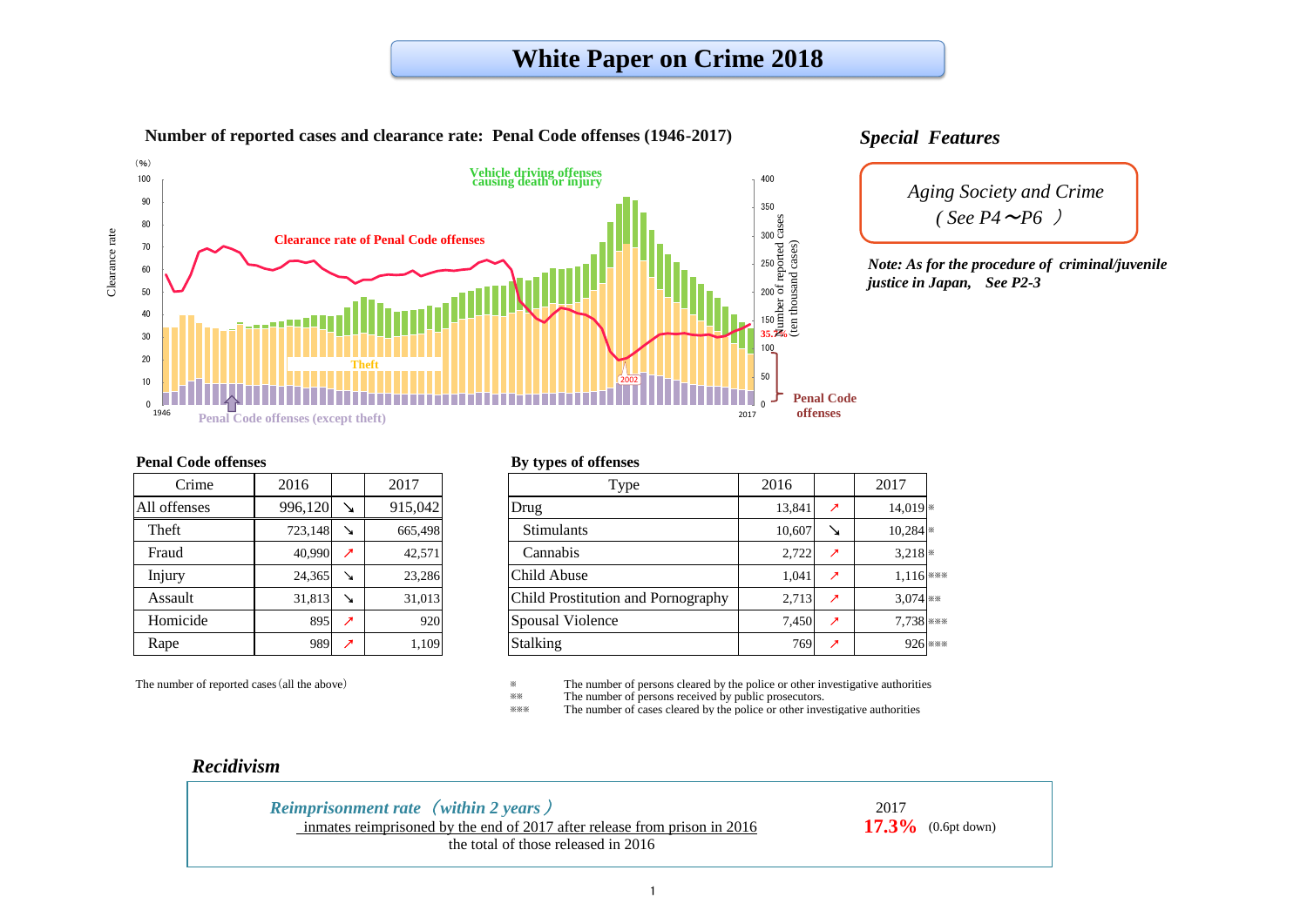※※ The number of persons received by public prosecutors.

The number of cases cleared by the police or other investigative authorities

| 2016    |                          | 2017    | <b>Type</b>                               | 2016   |                             | 2017         |
|---------|--------------------------|---------|-------------------------------------------|--------|-----------------------------|--------------|
| 996,120 | ↘                        | 915,042 | Drug                                      | 13,841 | ↗                           | $14,019$ $*$ |
| 723,148 | ↘                        | 665,498 | <b>Stimulants</b>                         | 10,607 | ↘                           | $10,284$ *   |
| 40,990  | ↗                        | 42,571  | Cannabis                                  | 2,722  | ↗                           | $3,218$ *    |
| 24,365  | ↘                        | 23,286  | Child Abuse                               | 1,041  | $\overline{\phantom{a}}$    | $1,116$ ***  |
| 31,813  | $\mathbf{r}$             | 31,013  | <b>Child Prostitution and Pornography</b> | 2,713  | $\mathcal{L}_{\mathcal{L}}$ | $3.074$ **   |
| 895     | $\overline{\phantom{a}}$ | 920     | <b>Spousal Violence</b>                   | 7,450  | $\mathcal{L}_{\mathcal{L}}$ | 7,738 ***    |
| 989     | $\overline{\phantom{a}}$ | 1,109   | <b>Stalking</b>                           | 769    | ↗                           | 926 ***      |
|         |                          |         |                                           |        |                             |              |

The number of reported cases (all the above) <sup>\*</sup> The number of persons cleared by the police or other investigative authorities<br><sup>\*</sup> The number of persons received by public prosecutors

### **Penal Code offenses**

*Aging Society and Crime (See P4*  $\sim$ *P6* )

| Crime        | 2016    |                          | 2017    |
|--------------|---------|--------------------------|---------|
| All offenses | 996,120 |                          | 915,042 |
| Theft        | 723,148 |                          | 665,498 |
| Fraud        | 40,990  | ↗                        | 42,571  |
| Injury       | 24,365  |                          | 23,286  |
| Assault      | 31,813  |                          | 31,013  |
| Homicide     | 895     | $\overline{\phantom{a}}$ | 920     |
| Rape         | 989     | ↗                        | 1,109   |

#### **By types of offenses**



# **White Paper on Crime 2018**

*Note: As for the procedure of criminal/juvenile*

# *Recidivism*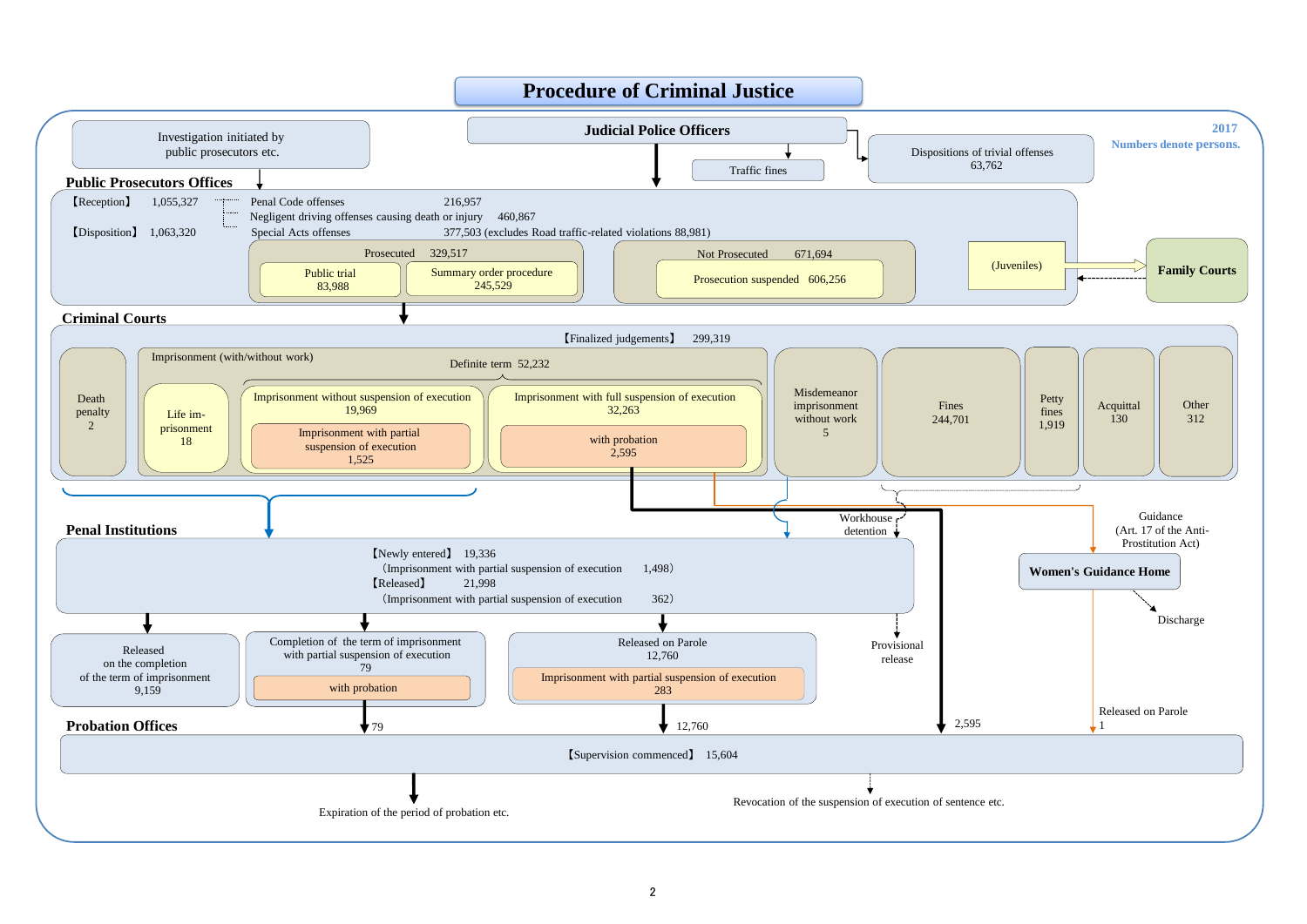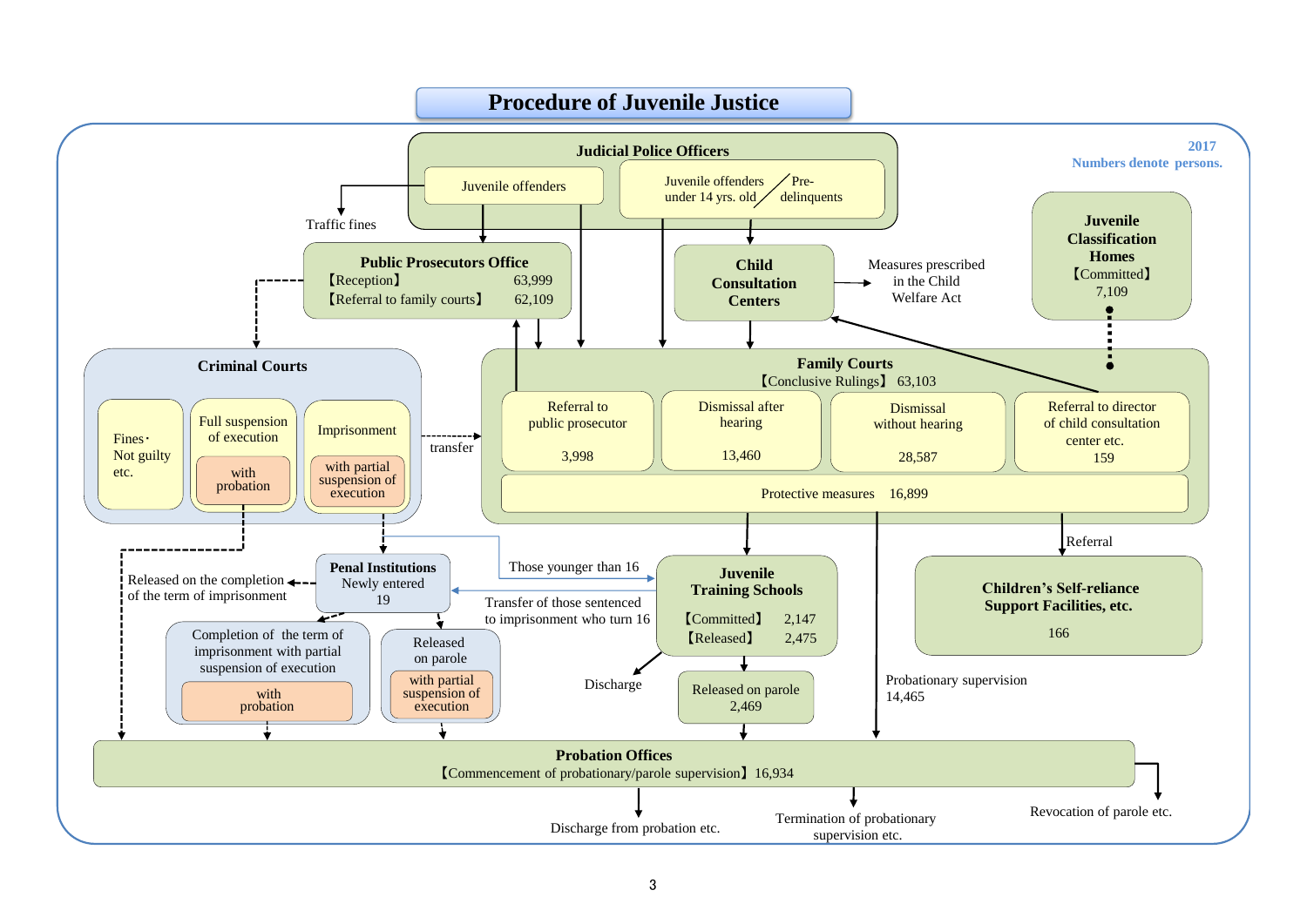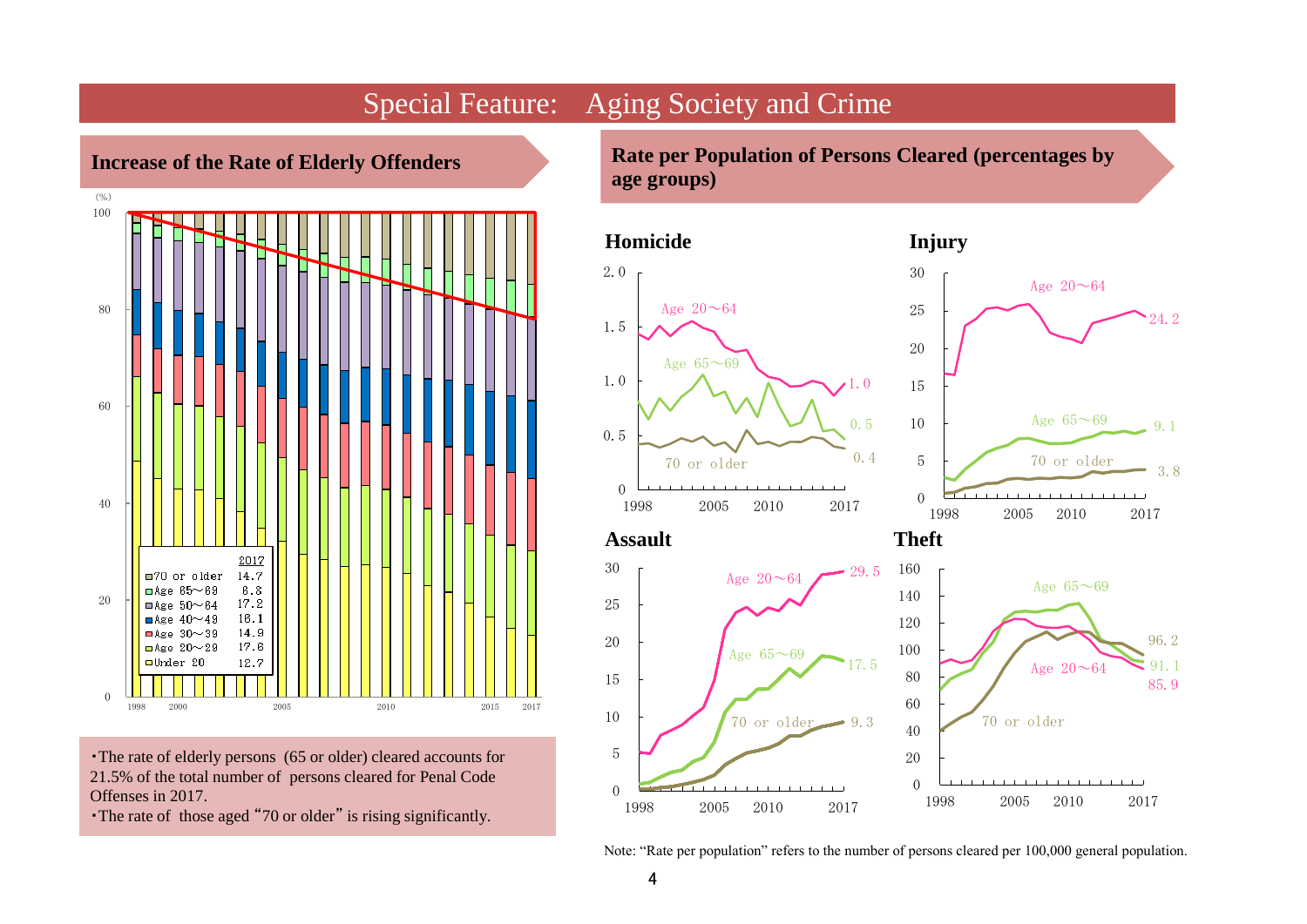

・The rate of elderly persons (65 or older) cleared accounts for 21.5% of the total number of persons cleared for Penal Code Offenses in 2017.

・The rate of those aged "70 or older" is rising significantly.

**Rate per Population of Persons Cleared (percentages by age groups)**



Note: "Rate per population" refers to the number of persons cleared per 100,000 general population.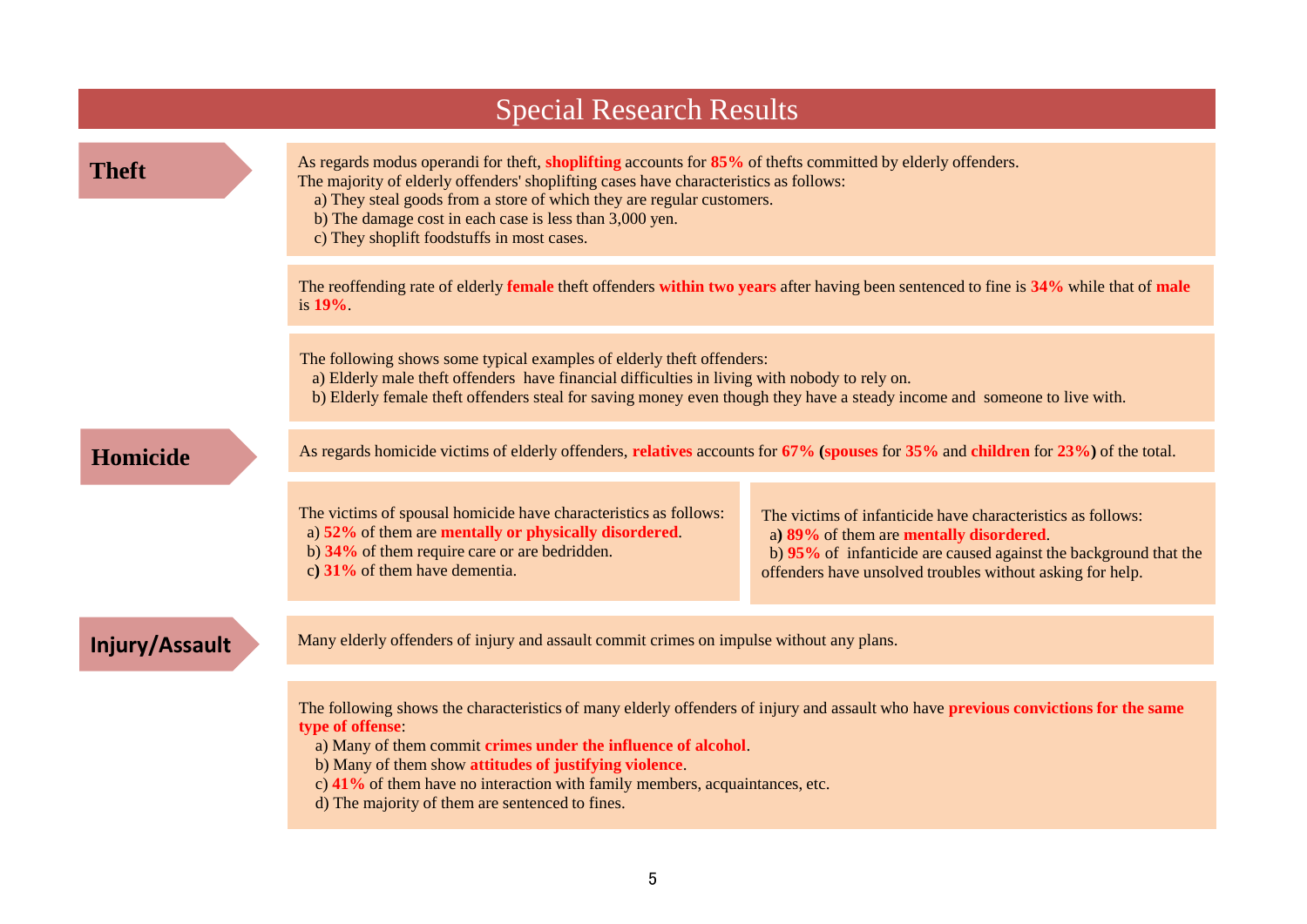| <b>Special Research Results</b> |                                                                                                                                                                                                                                                                                                                                                                                                                     |                                                                                                                                                                                                                                         |  |  |  |  |  |
|---------------------------------|---------------------------------------------------------------------------------------------------------------------------------------------------------------------------------------------------------------------------------------------------------------------------------------------------------------------------------------------------------------------------------------------------------------------|-----------------------------------------------------------------------------------------------------------------------------------------------------------------------------------------------------------------------------------------|--|--|--|--|--|
| <b>Theft</b>                    | As regards modus operandi for theft, shoplifting accounts for 85% of thefts committed by elderly offenders.<br>The majority of elderly offenders' shoplifting cases have characteristics as follows:<br>a) They steal goods from a store of which they are regular customers.<br>b) The damage cost in each case is less than 3,000 yen.<br>c) They shoplift foodstuffs in most cases.                              |                                                                                                                                                                                                                                         |  |  |  |  |  |
|                                 | The reoffending rate of elderly female theft offenders within two years after having been sentenced to fine is 34% while that of male<br>is $19\%$ .                                                                                                                                                                                                                                                                |                                                                                                                                                                                                                                         |  |  |  |  |  |
|                                 | The following shows some typical examples of elderly theft offenders:<br>a) Elderly male theft offenders have financial difficulties in living with nobody to rely on.<br>b) Elderly female theft offenders steal for saving money even though they have a steady income and someone to live with.                                                                                                                  |                                                                                                                                                                                                                                         |  |  |  |  |  |
| <b>Homicide</b>                 | As regards homicide victims of elderly offenders, relatives accounts for 67% (spouses for 35% and children for 23%) of the total.                                                                                                                                                                                                                                                                                   |                                                                                                                                                                                                                                         |  |  |  |  |  |
|                                 | The victims of spousal homicide have characteristics as follows:<br>a) 52% of them are mentally or physically disordered.<br>b) 34% of them require care or are bedridden.<br>c) $31\%$ of them have dementia.                                                                                                                                                                                                      | The victims of infanticide have characteristics as follows:<br>a) 89% of them are mentally disordered.<br>b) 95% of infanticide are caused against the background that the<br>offenders have unsolved troubles without asking for help. |  |  |  |  |  |
| Injury/Assault                  | Many elderly offenders of injury and assault commit crimes on impulse without any plans.                                                                                                                                                                                                                                                                                                                            |                                                                                                                                                                                                                                         |  |  |  |  |  |
|                                 | The following shows the characteristics of many elderly offenders of injury and assault who have previous convictions for the same<br>type of offense:<br>a) Many of them commit crimes under the influence of alcohol.<br>b) Many of them show attitudes of justifying violence.<br>c) 41% of them have no interaction with family members, acquaintances, etc.<br>d) The majority of them are sentenced to fines. |                                                                                                                                                                                                                                         |  |  |  |  |  |